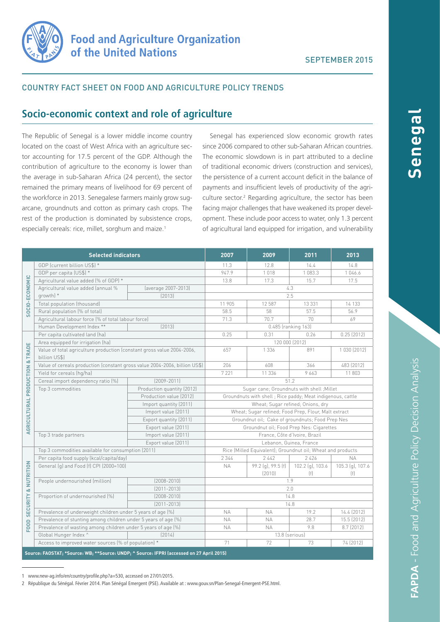

### COUNTRY FACT SHEET ON FOOD AND AGRICULTURE POLICY TRENDS

# **Socio-economic context and role of agriculture**

The Republic of Senegal is a lower middle income country located on the coast of West Africa with an agriculture sector accounting for 17.5 percent of the GDP. Although the contribution of agriculture to the economy is lower than the average in sub-Saharan Africa (24 percent), the sector remained the primary means of livelihood for 69 percent of the workforce in 2013. Senegalese farmers mainly grow sugarcane, groundnuts and cotton as primary cash crops. The rest of the production is dominated by subsistence crops, especially cereals: rice, millet, sorghum and maize.<sup>1</sup>

Senegal has experienced slow economic growth rates since 2006 compared to other sub-Saharan African countries. The economic slowdown is in part attributed to a decline of traditional economic drivers (construction and services), the persistence of a current account deficit in the balance of payments and insufficient levels of productivity of the agriculture sector.<sup>2</sup> Regarding agriculture, the sector has been facing major challenges that have weakened its proper development. These include poor access to water, only 1.3 percent of agricultural land equipped for irrigation, and vulnerability

| <b>Selected indicators</b>                                                                |                                                                                         |                            | 2007                                                        | 2009                         | 2011                    | 2013                    |
|-------------------------------------------------------------------------------------------|-----------------------------------------------------------------------------------------|----------------------------|-------------------------------------------------------------|------------------------------|-------------------------|-------------------------|
| SOCIO-ECONOMIC                                                                            | GDP (current billion US\$) *                                                            |                            | 11.3                                                        | 12.8                         | 14.4                    | 14.8                    |
|                                                                                           | GDP per capita (US\$) *                                                                 |                            | 947.9                                                       | 1018                         | 1083.3                  | 1046.6                  |
|                                                                                           | Agricultural value added (% of GDP) *                                                   |                            | 13.8                                                        | 17.3                         | 15.7                    | 17.5                    |
|                                                                                           | Agricultural value added (annual %                                                      | (average 2007-2013)        | 4.3                                                         |                              |                         |                         |
|                                                                                           | growth) *                                                                               | [2013]                     |                                                             |                              | 2.5                     |                         |
|                                                                                           | Total population (thousand)                                                             |                            | 11 905                                                      | 12 587                       | 13 3 3 1                | 14 133                  |
|                                                                                           | Rural population (% of total)                                                           |                            | 58.5                                                        | 58                           | 57.5                    | 56.9                    |
|                                                                                           | Agricultural labour force (% of total labour force)                                     |                            | 71.3                                                        | 70.7                         | 70                      | 69                      |
|                                                                                           | Human Development Index **<br>[2013]                                                    |                            | 0.485 (ranking 163)                                         |                              |                         |                         |
| AGRICULTURAL PRODUCTION & TRADE                                                           | Per capita cultivated land (ha)                                                         |                            | 0.25                                                        | 0.31                         | 0.26                    | 0.25(2012)              |
|                                                                                           | Area equipped for irrigation (ha)                                                       |                            | 120 000 (2012)                                              |                              |                         |                         |
|                                                                                           | Value of total agriculture production (constant gross value 2004-2006,<br>billion US\$) |                            | 657                                                         | 1 3 3 6                      | 891                     | 1 030 (2012)            |
|                                                                                           | Value of cereals production (constant gross value 2004-2006, billion US\$)              |                            | 206                                                         | 608                          | 366                     | 483 (2012)              |
|                                                                                           | Yield for cereals (hq/ha)                                                               |                            | 7 2 2 1                                                     | 11 3 36                      | 9663                    | 11803                   |
|                                                                                           | Cereal import dependency ratio [%]                                                      | $[2009 - 2011]$            | 51.2                                                        |                              |                         |                         |
|                                                                                           | Top 3 commodities                                                                       | Production quantity (2012) | Sugar cane; Groundnuts with shell ; Millet                  |                              |                         |                         |
|                                                                                           |                                                                                         | Production value (2012)    | Groundnuts with shell; Rice paddy; Meat indigenous, cattle  |                              |                         |                         |
|                                                                                           |                                                                                         | Import quantity (2011)     | Wheat; Sugar refined; Onions, dry                           |                              |                         |                         |
|                                                                                           |                                                                                         | Import value (2011)        | Wheat; Sugar refined; Food Prep, Flour, Malt extract        |                              |                         |                         |
|                                                                                           |                                                                                         | Export quantity (2011)     | Groundnut oil; Cake of groundnuts; Food Prep Nes            |                              |                         |                         |
|                                                                                           |                                                                                         | Export value (2011)        | Groundnut oil; Food Prep Nes: Cigarettes                    |                              |                         |                         |
|                                                                                           | Top 3 trade partners                                                                    | Import value (2011)        | France, Côte d'Ivoire, Brazil                               |                              |                         |                         |
|                                                                                           |                                                                                         | Export value (2011)        | Lebanon, Guinea, France                                     |                              |                         |                         |
| <b>SECURITY &amp; NUTRITION</b><br>FOOD                                                   | Top 3 commodities available for consumption (2011)                                      |                            | Rice (Milled Equivalent); Groundnut oil; Wheat and products |                              |                         |                         |
|                                                                                           | Per capita food supply (kcal/capita/day)                                                |                            | 2 3 4 4                                                     | 2 4 4 2                      | 2426                    | <b>NA</b>               |
|                                                                                           | General (g) and Food (f) CPI (2000=100)                                                 |                            | <b>NA</b>                                                   | 99.2 (g), 99.5 (f)<br>[2010] | 102.2 (g), 103.6<br>[f] | 105.3 (g), 107.6<br>(f) |
|                                                                                           | People undernourished (million)                                                         | $(2008 - 2010)$            | 1.9                                                         |                              |                         |                         |
|                                                                                           |                                                                                         | $[2011 - 2013]$            | 2.0                                                         |                              |                         |                         |
|                                                                                           | Proportion of undernourished (%)                                                        | $[2008 - 2010]$            | 14.8                                                        |                              |                         |                         |
|                                                                                           |                                                                                         | $[2011 - 2013]$            | 14.8                                                        |                              |                         |                         |
|                                                                                           | Prevalence of underweight children under 5 years of age (%)                             |                            | <b>NA</b>                                                   | <b>NA</b>                    | 19.2                    | 14.4 (2012)             |
|                                                                                           | Prevalence of stunting among children under 5 years of age (%)                          |                            | <b>NA</b>                                                   | <b>NA</b>                    | 28.7                    | 15.5 (2012)             |
|                                                                                           | Prevalence of wasting among children under 5 years of age (%)                           |                            | <b>NA</b>                                                   | <b>NA</b>                    | 9.8                     | 8.7 (2012)              |
|                                                                                           | Global Hunger Index ^                                                                   | [2014]                     | 13.8 (serious)                                              |                              |                         |                         |
|                                                                                           | Access to improved water sources (% of population) *                                    |                            | 71                                                          | 72                           | 73                      | 74 (2012)               |
| Source: FAOSTAT; *Source: WB; **Source: UNDP; ^ Source: IFPRI (accessed on 27 April 2015) |                                                                                         |                            |                                                             |                              |                         |                         |

1 www.new-ag.info/en/country/profile.php?a=530, accessed on 27/01/2015.

2 République du Sénégal. Février 2014. Plan Sénégal Emergent (PSE). Available at : www.gouv.sn/Plan-Senegal-Emergent-PSE.html.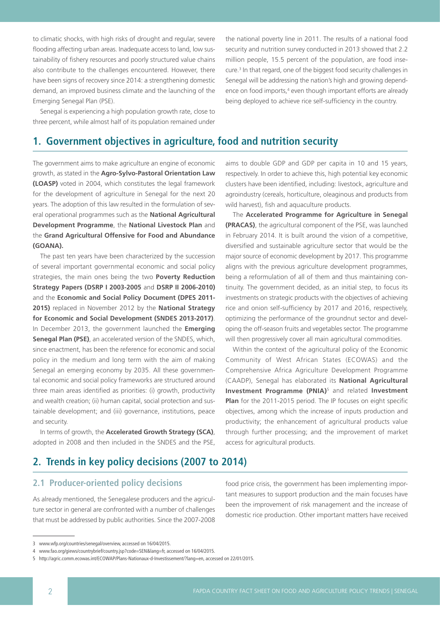to climatic shocks, with high risks of drought and regular, severe flooding affecting urban areas. Inadequate access to land, low sustainability of fishery resources and poorly structured value chains also contribute to the challenges encountered. However, there have been signs of recovery since 2014: a strengthening domestic demand, an improved business climate and the launching of the Emerging Senegal Plan (PSE).

Senegal is experiencing a high population growth rate, close to three percent, while almost half of its population remained under

the national poverty line in 2011. The results of a national food security and nutrition survey conducted in 2013 showed that 2.2 million people, 15.5 percent of the population, are food insecure.3 In that regard, one of the biggest food security challenges in Senegal will be addressing the nation's high and growing dependence on food imports,<sup>4</sup> even though important efforts are already being deployed to achieve rice self-sufficiency in the country.

# **1. Government objectives in agriculture, food and nutrition security**

The government aims to make agriculture an engine of economic growth, as stated in the **Agro-Sylvo-Pastoral Orientation Law (LOASP)** voted in 2004, which constitutes the legal framework for the development of agriculture in Senegal for the next 20 years. The adoption of this law resulted in the formulation of several operational programmes such as the **National Agricultural Development Programme**, the **National Livestock Plan** and the **Grand Agricultural Offensive for Food and Abundance (GOANA).**

The past ten years have been characterized by the succession of several important governmental economic and social policy strategies, the main ones being the two **Poverty Reduction Strategy Papers (DSRP I 2003-2005** and **DSRP II 2006-2010)** and the **Economic and Social Policy Document (DPES 2011- 2015)** replaced in November 2012 by the **National Strategy for Economic and Social Development (SNDES 2013-2017)**. In December 2013, the government launched the **Emerging Senegal Plan (PSE)**, an accelerated version of the SNDES, which, since enactment, has been the reference for economic and social policy in the medium and long term with the aim of making Senegal an emerging economy by 2035. All these governmental economic and social policy frameworks are structured around three main areas identified as priorities: (i) growth, productivity and wealth creation; (ii) human capital, social protection and sustainable development; and (iii) governance, institutions, peace and security.

In terms of growth, the **Accelerated Growth Strategy (SCA)**, adopted in 2008 and then included in the SNDES and the PSE, aims to double GDP and GDP per capita in 10 and 15 years, respectively. In order to achieve this, high potential key economic clusters have been identified, including: livestock, agriculture and agroindustry (cereals, horticulture, oleaginous and products from wild harvest), fish and aquaculture products.

The **Accelerated Programme for Agriculture in Senegal (PRACAS)**, the agricultural component of the PSE, was launched in February 2014. It is built around the vision of a competitive, diversified and sustainable agriculture sector that would be the major source of economic development by 2017. This programme aligns with the previous agriculture development programmes, being a reformulation of all of them and thus maintaining continuity. The government decided, as an initial step, to focus its investments on strategic products with the objectives of achieving rice and onion self-sufficiency by 2017 and 2016, respectively, optimizing the performance of the groundnut sector and developing the off-season fruits and vegetables sector. The programme will then progressively cover all main agricultural commodities.

Within the context of the agricultural policy of the Economic Community of West African States (ECOWAS) and the Comprehensive Africa Agriculture Development Programme (CAADP), Senegal has elaborated its **National Agricultural Investment Programme (PNIA)**5 and related **Investment Plan** for the 2011-2015 period. The IP focuses on eight specific objectives, among which the increase of inputs production and productivity; the enhancement of agricultural products value through further processing; and the improvement of market access for agricultural products.

# **2. Trends in key policy decisions (2007 to 2014)**

## **2.1 Producer-oriented policy decisions**

As already mentioned, the Senegalese producers and the agriculture sector in general are confronted with a number of challenges that must be addressed by public authorities. Since the 2007-2008

food price crisis, the government has been implementing important measures to support production and the main focuses have been the improvement of risk management and the increase of domestic rice production. Other important matters have received

<sup>3</sup> www.wfp.org/countries/senegal/overview, accessed on 16/04/2015.

<sup>4</sup> www.fao.org/giews/countrybrief/country.jsp?code=SEN&lang=fr, accessed on 16/04/2015.

<sup>5</sup> http://agric.comm.ecowas.int/ECOWAP/Plans-Nationaux-d-Investissement/?lang=en, accessed on 22/01/2015.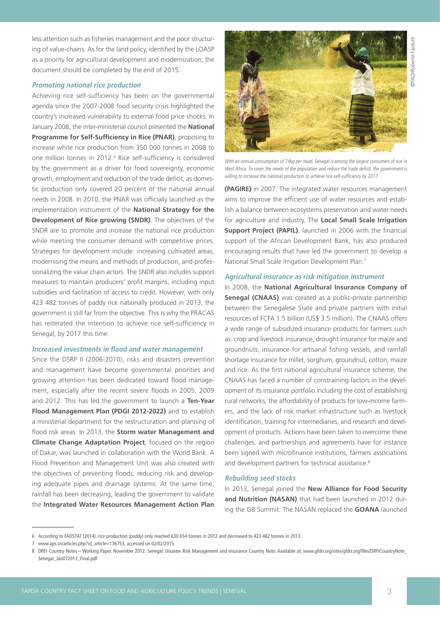©FAO/Roberto Faidutti ©FAO/Roberto Faidutti

less attention such as fisheries management and the poor structuring of value-chains. As for the land policy, identified by the LOASP as a priority for agricultural development and modernization, the document should be completed by the end of 2015.

#### **Promoting national rice production**

Achieving rice self-sufficiency has been on the governmental agenda since the 2007-2008 food security crisis highlighted the country's increased vulnerability to external food price shocks. In January 2008, the inter-ministerial council presented the **National Programme for Self-Sufficiency in Rice (PNAR)**, proposing to increase white rice production from 350 000 tonnes in 2008 to one million tonnes in 2012.<sup>6</sup> Rice self-sufficiency is considered by the government as a driver for food sovereignty, economic growth, employment and reduction of the trade deficit, as domestic production only covered 20 percent of the national annual needs in 2008. In 2010, the PNAR was officially launched as the implementation instrument of the **National Strategy for the Development of Rice growing (SNDR)**. The objectives of the SNDR are to promote and increase the national rice production while meeting the consumer demand with competitive prices. Strategies for development include: increasing cultivated areas, modernising the means and methods of production, and professionalizing the value chain actors. The SNDR also includes support measures to maintain producers' profit margins, including input subsidies and facilitation of access to credit. However, with only 423 482 tonnes of paddy rice nationally produced in 2013, the government is still far from the objective. This is why the PRACAS has reiterated the intention to achieve rice self-sufficiency in Senegal, by 2017 this time.

#### **Increased investments in flood and water management**

Since the DSRP II (2006-2010), risks and disasters prevention and management have become governmental priorities and growing attention has been dedicated toward flood management, especially after the recent severe floods in 2005, 2009 and 2012. This has led the government to launch a **Ten-Year Flood Management Plan (PDGI 2012-2022)** and to establish a ministerial department for the restructuration and planning of flood risk areas. In 2013, the **Storm water Management and Climate Change Adaptation Project**, focused on the region of Dakar, was launched in collaboration with the World Bank. A Flood Prevention and Management Unit was also created with the objectives of preventing floods, reducing risk and developing adequate pipes and drainage systems. At the same time, rainfall has been decreasing, leading the government to validate the **Integrated Water Resources Management Action Plan** 



With an annual consumption of 74kg per head, Senegal is among the largest consumers of rice in West Africa. To cover the needs of the population and reduce the trade deficit, the government is willing to increase the national production to achieve rice self-sufficiency by 2017.

**(PAGIRE)** in 2007. The integrated water resources management aims to improve the efficient use of water resources and establish a balance between ecosystems preservation and water needs for agriculture and industry. The **Local Small Scale Irrigation Support Project (PAPIL)**, launched in 2006 with the financial support of the African Development Bank, has also produced encouraging results that have led the government to develop a National Small Scale Irrigation Development Plan.7

#### **Agricultural insurance as risk mitigation instrument**

In 2008, the **National Agricultural Insurance Company of Senegal (CNAAS)** was created as a public-private partnership between the Senegalese State and private partners with initial resources of FCFA 1.5 billion (US\$ 3.5 million). The CNAAS offers a wide range of subsidized insurance products for farmers such as: crop and livestock insurance, drought insurance for maize and groundnuts, insurance for artisanal fishing vessels, and rainfall shortage insurance for millet, sorghum, groundnut, cotton, maize and rice. As the first national agricultural insurance scheme, the CNAAS has faced a number of constraining factors in the development of its insurance portfolio including the cost of establishing rural networks, the affordability of products for low-income farmers, and the lack of risk market infrastructure such as livestock identification, training for intermediaries, and research and development of products. Actions have been taken to overcome these challenges, and partnerships and agreements have for instance been signed with microfinance institutions, farmers associations and development partners for technical assistance.<sup>8</sup>

#### **Rebuilding seed stocks**

In 2013, Senegal joined the **New Alliance for Food Security and Nutrition (NASAN)** that had been launched in 2012 during the G8 Summit. The NASAN replaced the **GOANA** launched

<sup>6</sup> According to FAOSTAT (2014), rice production (paddy) only reached 630 654 tonnes in 2012 and decreased to 423 482 tonnes in 2013.

<sup>7</sup> www.aps.sn/articles.php?id\_article=136753, accessed on 02/02/2015.

<sup>8</sup> DRFI Country Notes - Working Paper. November 2012. Senegal: Disaster Risk Management and Insurance Country Note. Available at: www.gfdrr.org/sites/gfdrr.org/files/DRFICountryNote\_ Senegal\_Jan072013\_Final.pdf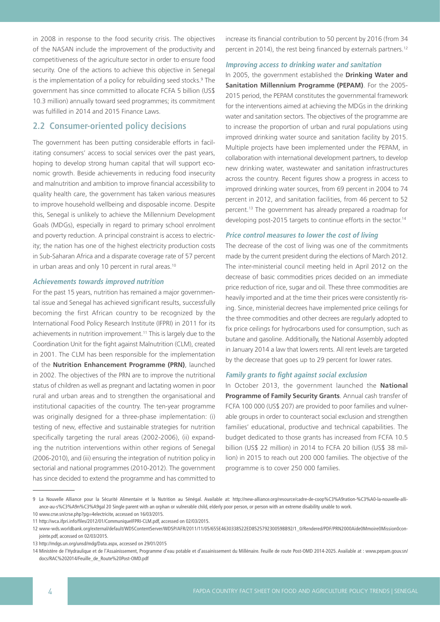in 2008 in response to the food security crisis. The objectives of the NASAN include the improvement of the productivity and competitiveness of the agriculture sector in order to ensure food security. One of the actions to achieve this objective in Senegal is the implementation of a policy for rebuilding seed stocks.<sup>9</sup> The government has since committed to allocate FCFA 5 billion (US\$ 10.3 million) annually toward seed programmes; its commitment was fulfilled in 2014 and 2015 Finance Laws.

### **2.2 Consumer-oriented policy decisions**

The government has been putting considerable efforts in facilitating consumers' access to social services over the past years, hoping to develop strong human capital that will support economic growth. Beside achievements in reducing food insecurity and malnutrition and ambition to improve financial accessibility to quality health care, the government has taken various measures to improve household wellbeing and disposable income. Despite this, Senegal is unlikely to achieve the Millennium Development Goals (MDGs), especially in regard to primary school enrolment and poverty reduction. A principal constraint is access to electricity; the nation has one of the highest electricity production costs in Sub-Saharan Africa and a disparate coverage rate of 57 percent in urban areas and only 10 percent in rural areas.<sup>10</sup>

#### **Achievements towards improved nutrition**

For the past 15 years, nutrition has remained a major governmental issue and Senegal has achieved significant results, successfully becoming the first African country to be recognized by the International Food Policy Research Institute (IFPRI) in 2011 for its achievements in nutrition improvement.<sup>11</sup> This is largely due to the Coordination Unit for the fight against Malnutrition (CLM), created in 2001. The CLM has been responsible for the implementation of the **Nutrition Enhancement Programme (PRN)**, launched in 2002. The objectives of the PRN are to improve the nutritional status of children as well as pregnant and lactating women in poor rural and urban areas and to strengthen the organisational and institutional capacities of the country. The ten-year programme was originally designed for a three-phase implementation: (i) testing of new, effective and sustainable strategies for nutrition specifically targeting the rural areas (2002-2006), (ii) expanding the nutrition interventions within other regions of Senegal (2006-2010), and (iii) ensuring the integration of nutrition policy in sectorial and national programmes (2010-2012). The government has since decided to extend the programme and has committed to

increase its financial contribution to 50 percent by 2016 (from 34 percent in 2014), the rest being financed by externals partners.<sup>12</sup>

#### **Improving access to drinking water and sanitation**

In 2005, the government established the **Drinking Water and Sanitation Millennium Programme (PEPAM)**. For the 2005- 2015 period, the PEPAM constitutes the governmental framework for the interventions aimed at achieving the MDGs in the drinking water and sanitation sectors. The objectives of the programme are to increase the proportion of urban and rural populations using improved drinking water source and sanitation facility by 2015. Multiple projects have been implemented under the PEPAM, in collaboration with international development partners, to develop new drinking water, wastewater and sanitation infrastructures across the country. Recent figures show a progress in access to improved drinking water sources, from 69 percent in 2004 to 74 percent in 2012, and sanitation facilities, from 46 percent to 52 percent.13 The government has already prepared a roadmap for developing post-2015 targets to continue efforts in the sector.<sup>14</sup>

#### **Price control measures to lower the cost of living**

The decrease of the cost of living was one of the commitments made by the current president during the elections of March 2012. The inter-ministerial council meeting held in April 2012 on the decrease of basic commodities prices decided on an immediate price reduction of rice, sugar and oil. These three commodities are heavily imported and at the time their prices were consistently rising. Since, ministerial decrees have implemented price ceilings for the three commodities and other decrees are regularly adopted to fix price ceilings for hydrocarbons used for consumption, such as butane and gasoline. Additionally, the National Assembly adopted in January 2014 a law that lowers rents. All rent levels are targeted by the decrease that goes up to 29 percent for lower rates.

#### **Family grants to fight against social exclusion**

In October 2013, the government launched the **National Programme of Family Security Grants**. Annual cash transfer of FCFA 100 000 (US\$ 207) are provided to poor families and vulnerable groups in order to counteract social exclusion and strengthen families' educational, productive and technical capabilities. The budget dedicated to those grants has increased from FCFA 10.5 billion (US\$ 22 million) in 2014 to FCFA 20 billion (US\$ 38 million) in 2015 to reach out 200 000 families. The objective of the programme is to cover 250 000 families.

<sup>9</sup> La Nouvelle Alliance pour la Sécurité Alimentaire et la Nutrition au Sénégal. Available at: http://new-alliance.org/resource/cadre-de-coop%C3%A9ration-%C3%A0-la-nouvelle-alliance-au-s%C3%A9n%C3%A9gal 20 Single parent with an orphan or vulnerable child, elderly poor person, or person with an extreme disability unable to work.

<sup>10</sup> www.crse.sn/crse.php?pg=4electricite, accessed on 16/03/2015.

<sup>11</sup> http://wca.ifpri.info/files/2012/01/CommuniqueIFPRI-CLM.pdf, accessed on 02/03/2015.

<sup>12</sup> www-wds.worldbank.org/external/default/WDSContentServer/WDSP/AFR/2011/11/05/655E4630338522ED852579230059BB92/1\_0/Rendered/PDF/PRN2000Aide0Mmoire0Mission0conjointe.pdf, accessed on 02/03/2015.

<sup>13</sup> http://mdgs.un.org/unsd/mdg/Data.aspx, accessed on 29/01/2015

<sup>14</sup> Ministère de l'Hydraulique et de l'Assainissement, Programme d'eau potable et d'assainissement du Millénaire. Feuille de route Post-OMD 2014-2025. Available at : www.pepam.gouv.sn/ docs/RAC%202014/Feuille\_de\_Route%20Post-OMD.pdf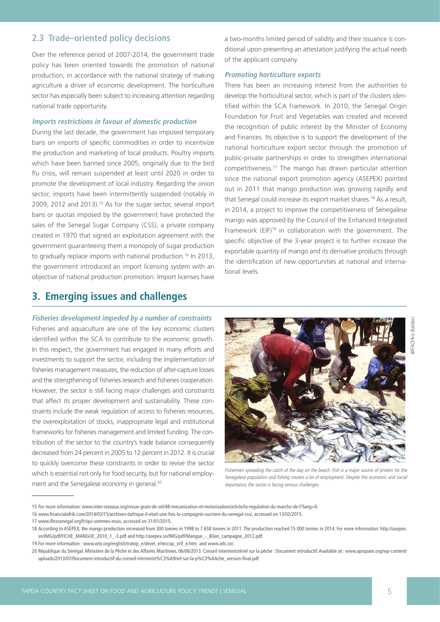## **2.3 Trade–oriented policy decisions**

Over the reference period of 2007-2014, the government trade policy has been oriented towards the promotion of national production, in accordance with the national strategy of making agriculture a driver of economic development. The horticulture sector has especially been subject to increasing attention regarding national trade opportunity.

#### **Imports restrictions in favour of domestic production**

During the last decade, the government has imposed temporary bans on imports of specific commodities in order to incentivize the production and marketing of local products. Poultry imports which have been banned since 2005, originally due to the bird flu crisis, will remain suspended at least until 2020 in order to promote the development of local industry. Regarding the onion sector, imports have been intermittently suspended (notably in 2009, 2012 and 2013).15 As for the sugar sector, several import bans or quotas imposed by the government have protected the sales of the Senegal Sugar Company (CSS), a private company created in 1970 that signed an exploitation agreement with the government guaranteeing them a monopoly of sugar production to gradually replace imports with national production.<sup>16</sup> In 2013, the government introduced an import licensing system with an objective of national production promotion. Import licenses have

a two-months limited period of validity and their issuance is conditional upon presenting an attestation justifying the actual needs of the applicant company.

### **Promoting horticulture exports**

There has been an increasing interest from the authorities to develop the horticultural sector, which is part of the clusters identified within the SCA framework. In 2010, the Senegal Origin Foundation for Fruit and Vegetables was created and received the recognition of public interest by the Minister of Economy and Finances. Its objective is to support the development of the national horticulture export sector through the promotion of public-private partnerships in order to strengthen international competitiveness.17 The mango has drawn particular attention since the national export promotion agency (ASEPEX) pointed out in 2011 that mango production was growing rapidly and that Senegal could increase its export market shares.18 As a result, in 2014, a project to improve the competitiveness of Senegalese mango was approved by the Council of the Enhanced Integrated Framework (EIF)<sup>19</sup> in collaboration with the government. The specific objective of the 3-year project is to further increase the exportable quantity of mango and its derivative products through the identification of new opportunities at national and international levels.

# **3. Emerging issues and challenges**

**Fisheries development impeded by a number of constraints** Fisheries and aquaculture are one of the key economic clusters identified within the SCA to contribute to the economic growth. In this respect, the government has engaged in many efforts and investments to support the sector, including the implementation of fisheries management measures, the reduction of after-capture losses and the strengthening of fisheries research and fisheries cooperation. However, the sector is still facing major challenges and constraints that affect its proper development and sustainability. These constraints include the weak regulation of access to fisheries resources, the overexploitation of stocks, inappropriate legal and institutional frameworks for fisheries management and limited funding. The contribution of the sector to the country's trade balance consequently decreased from 24 percent in 2005 to 12 percent in 2012. It is crucial to quickly overcome these constraints in order to revive the sector which is essential not only for food security, but for national employment and the Senegalese economy in general.20



Fishermen spreading the catch of the day on the beach. Fish is a major source of protein for the Senegalese population and fishing creates a lot of employment. Despite this economic and social importance, the sector is facing serious challenges.

©FAO/Ivo Balderi**DFAO/Ivo Balder** 

<sup>15</sup> For more information: www.inter-reseaux.org/revue-grain-de-sel/48-mecanisation-et-motorisation/article/la-regulation-du-marche-de-l?lang=fr.

<sup>16</sup> www.financialafrik.com/2014/03/15/archives-dafrique-il-etait-une-fois-la-compagnie-sucriere-du-senegal-css/, accessed on 13/02/2015.

<sup>17</sup> www.iflexsenegal.org/fr/qui-sommes-nous, accessed on 31/01/2015.

<sup>18</sup> According to ASEPEX, the mango production increased from 300 tonnes in 1998 to 7 658 tonnes in 2011. The production reached 15 000 tonnes in 2014. For more information: http://asepex. sn/IMG/pdf/FICHE\_MANGUE\_2010\_1\_-3.pdf and http://asepex.sn/IMG/pdf/Mangue\_-\_Bilan\_campagne\_2012.pdf.

<sup>19</sup> For more information : www.wto.org/english/tratop\_e/devel\_e/teccop\_e/if\_e.htm and www.atlc.sn/.

<sup>20</sup> République du Sénégal. Ministère de la Pêche et des Affaires Maritimes. 06/06/2013. Conseil interministériel sur la pêche : Document introductif. Available at : www.aprapam.org/wp-content/ uploads/2013/07/Document-introductif-du-conseil-intrminist%C3%A9riel-sur-la-p%C3%AAche\_version-final.pdf